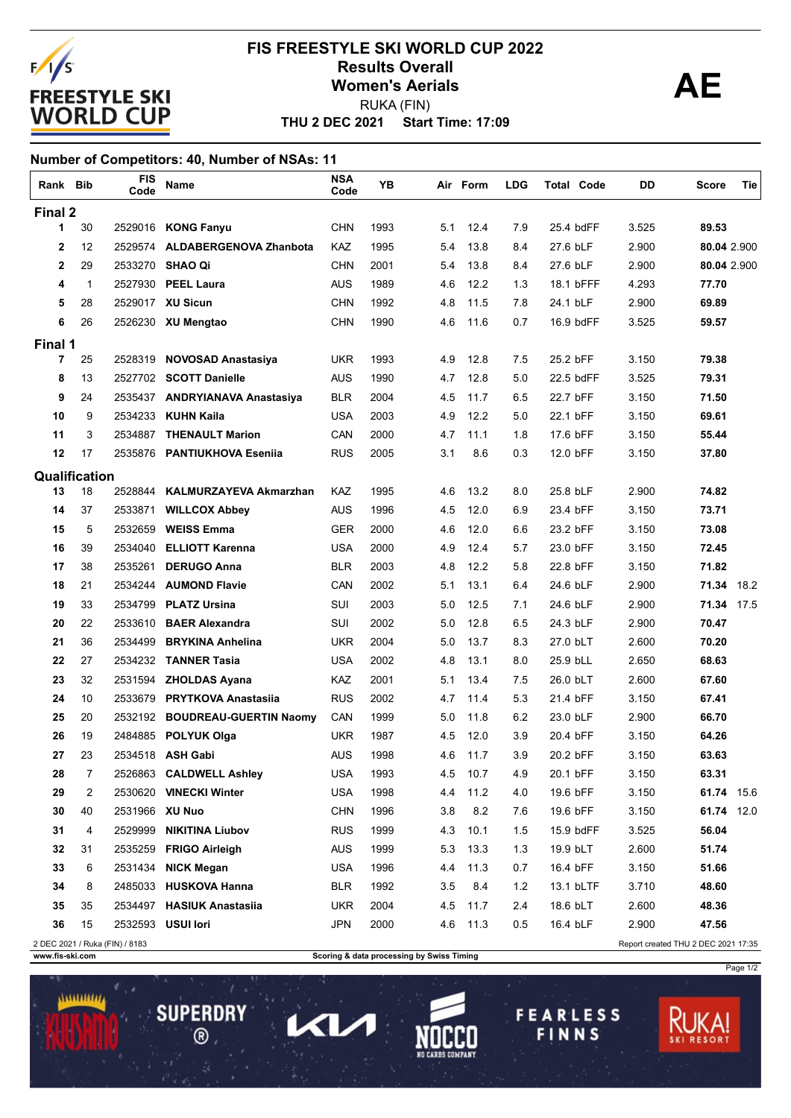

### **THU 2 DEC 2021 Start Time: 17:09 FIS FREESTYLE SKI WORLD CUP 2022 Results Overall AE Women's Aerials** RUKA (FIN)

#### **Number of Competitors: 40, Number of NSAs: 11**

| Rank Bib                                                              |    | <b>FIS</b><br>Code | Name                           | <b>NSA</b><br>Code | YΒ   |     | Air Form | <b>LDG</b> | <b>Total Code</b> | DD    | Tie<br>Score |
|-----------------------------------------------------------------------|----|--------------------|--------------------------------|--------------------|------|-----|----------|------------|-------------------|-------|--------------|
| Final 2                                                               |    |                    |                                |                    |      |     |          |            |                   |       |              |
| 1                                                                     | 30 |                    | 2529016 KONG Fanyu             | <b>CHN</b>         | 1993 | 5.1 | 12.4     | 7.9        | 25.4 bdFF         | 3.525 | 89.53        |
| $\mathbf{2}$                                                          | 12 |                    | 2529574 ALDABERGENOVA Zhanbota | <b>KAZ</b>         | 1995 | 5.4 | 13.8     | 8.4        | 27.6 bLF          | 2.900 | 80.04 2.900  |
| $\mathbf{2}$                                                          | 29 | 2533270            | <b>SHAO Qi</b>                 | <b>CHN</b>         | 2001 | 5.4 | 13.8     | 8.4        | 27.6 bLF          | 2.900 | 80.04 2.900  |
| 4                                                                     | 1  |                    | 2527930 PEEL Laura             | <b>AUS</b>         | 1989 | 4.6 | 12.2     | 1.3        | 18.1 bFFF         | 4.293 | 77.70        |
| 5                                                                     | 28 |                    | 2529017 XU Sicun               | <b>CHN</b>         | 1992 | 4.8 | 11.5     | 7.8        | 24.1 bLF          | 2.900 | 69.89        |
| 6                                                                     | 26 |                    | 2526230 XU Mengtao             | <b>CHN</b>         | 1990 | 4.6 | 11.6     | 0.7        | 16.9 bdFF         | 3.525 | 59.57        |
| Final 1                                                               |    |                    |                                |                    |      |     |          |            |                   |       |              |
| $\overline{7}$                                                        | 25 | 2528319            | <b>NOVOSAD Anastasiya</b>      | <b>UKR</b>         | 1993 | 4.9 | 12.8     | 7.5        | 25.2 bFF          | 3.150 | 79.38        |
| 8                                                                     | 13 |                    | 2527702 SCOTT Danielle         | <b>AUS</b>         | 1990 | 4.7 | 12.8     | 5.0        | 22.5 bdFF         | 3.525 | 79.31        |
| 9                                                                     | 24 |                    | 2535437 ANDRYIANAVA Anastasiya | <b>BLR</b>         | 2004 | 4.5 | 11.7     | 6.5        | 22.7 bFF          | 3.150 | 71.50        |
| 10                                                                    | 9  | 2534233            | <b>KUHN Kaila</b>              | USA                | 2003 | 4.9 | 12.2     | 5.0        | 22.1 bFF          | 3.150 | 69.61        |
| 11                                                                    | 3  | 2534887            | <b>THENAULT Marion</b>         | CAN                | 2000 | 4.7 | 11.1     | 1.8        | 17.6 bFF          | 3.150 | 55.44        |
| 12                                                                    | 17 |                    | 2535876 PANTIUKHOVA Eseniia    | <b>RUS</b>         | 2005 | 3.1 | 8.6      | 0.3        | 12.0 bFF          | 3.150 | 37.80        |
| Qualification                                                         |    |                    |                                |                    |      |     |          |            |                   |       |              |
| 13                                                                    | 18 | 2528844            | KALMURZAYEVA Akmarzhan         | KAZ                | 1995 | 4.6 | 13.2     | 8.0        | 25.8 bLF          | 2.900 | 74.82        |
| 14                                                                    | 37 | 2533871            | <b>WILLCOX Abbey</b>           | <b>AUS</b>         | 1996 | 4.5 | 12.0     | 6.9        | 23.4 bFF          | 3.150 | 73.71        |
| 15                                                                    | 5  | 2532659            | <b>WEISS Emma</b>              | <b>GER</b>         | 2000 | 4.6 | 12.0     | 6.6        | 23.2 bFF          | 3.150 | 73.08        |
| 16                                                                    | 39 | 2534040            | <b>ELLIOTT Karenna</b>         | <b>USA</b>         | 2000 | 4.9 | 12.4     | 5.7        | 23.0 bFF          | 3.150 | 72.45        |
| 17                                                                    | 38 | 2535261            | <b>DERUGO Anna</b>             | <b>BLR</b>         | 2003 | 4.8 | 12.2     | 5.8        | 22.8 bFF          | 3.150 | 71.82        |
| 18                                                                    | 21 | 2534244            | <b>AUMOND Flavie</b>           | CAN                | 2002 | 5.1 | 13.1     | 6.4        | 24.6 bLF          | 2.900 | 71.34 18.2   |
| 19                                                                    | 33 | 2534799            | <b>PLATZ Ursina</b>            | SUI                | 2003 | 5.0 | 12.5     | 7.1        | 24.6 bLF          | 2.900 | 71.34 17.5   |
| 20                                                                    | 22 | 2533610            | <b>BAER Alexandra</b>          | SUI                | 2002 | 5.0 | 12.8     | 6.5        | 24.3 bLF          | 2.900 | 70.47        |
| 21                                                                    | 36 | 2534499            | <b>BRYKINA Anhelina</b>        | <b>UKR</b>         | 2004 | 5.0 | 13.7     | 8.3        | 27.0 bLT          | 2.600 | 70.20        |
| 22                                                                    | 27 | 2534232            | <b>TANNER Tasia</b>            | USA                | 2002 | 4.8 | 13.1     | 8.0        | 25.9 bLL          | 2.650 | 68.63        |
| 23                                                                    | 32 | 2531594            | <b>ZHOLDAS Ayana</b>           | KAZ                | 2001 | 5.1 | 13.4     | 7.5        | 26.0 bLT          | 2.600 | 67.60        |
| 24                                                                    | 10 | 2533679            | <b>PRYTKOVA Anastasiia</b>     | <b>RUS</b>         | 2002 | 4.7 | 11.4     | 5.3        | 21.4 bFF          | 3.150 | 67.41        |
| 25                                                                    | 20 | 2532192            | <b>BOUDREAU-GUERTIN Naomy</b>  | CAN                | 1999 | 5.0 | 11.8     | 6.2        | 23.0 bLF          | 2.900 | 66.70        |
| 26                                                                    | 19 | 2484885            | <b>POLYUK Olga</b>             | <b>UKR</b>         | 1987 | 4.5 | 12.0     | 3.9        | 20.4 bFF          | 3.150 | 64.26        |
| 27                                                                    | 23 |                    | 2534518 ASH Gabi               | <b>AUS</b>         | 1998 | 4.6 | 11.7     | 3.9        | 20.2 bFF          | 3.150 | 63.63        |
| 28                                                                    | 7  |                    | 2526863 CALDWELL Ashley        | <b>USA</b>         | 1993 | 4.5 | 10.7     | 4.9        | 20.1 bFF          | 3.150 | 63.31        |
| 29                                                                    | 2  |                    | 2530620 VINECKI Winter         | <b>USA</b>         | 1998 | 4.4 | 11.2     | 4.0        | 19.6 bFF          | 3.150 | 61.74 15.6   |
| 30                                                                    | 40 | 2531966 XU Nuo     |                                | <b>CHN</b>         | 1996 | 3.8 | 8.2      | 7.6        | 19.6 bFF          | 3.150 | 61.74 12.0   |
| 31                                                                    | 4  | 2529999            | <b>NIKITINA Liubov</b>         | <b>RUS</b>         | 1999 | 4.3 | 10.1     | 1.5        | 15.9 bdFF         | 3.525 | 56.04        |
| 32                                                                    | 31 |                    | 2535259 FRIGO Airleigh         | <b>AUS</b>         | 1999 | 5.3 | 13.3     | 1.3        | 19.9 bLT          | 2.600 | 51.74        |
| 33                                                                    | 6  | 2531434            | <b>NICK Megan</b>              | <b>USA</b>         | 1996 | 4.4 | 11.3     | 0.7        | 16.4 bFF          | 3.150 | 51.66        |
| 34                                                                    | 8  |                    | 2485033 HUSKOVA Hanna          | <b>BLR</b>         | 1992 | 3.5 | 8.4      | $1.2$      | 13.1 bLTF         | 3.710 | 48.60        |
| 35                                                                    | 35 |                    | 2534497 HASIUK Anastasiia      | <b>UKR</b>         | 2004 | 4.5 | 11.7     | 2.4        | 18.6 bLT          | 2.600 | 48.36        |
| 36                                                                    | 15 |                    | 2532593 USUI lori              | <b>JPN</b>         | 2000 | 4.6 | 11.3     | 0.5        | 16.4 bLF          | 2.900 | 47.56        |
| 2 DEC 2021 / Ruka (FIN) / 8183<br>Report created THU 2 DEC 2021 17:35 |    |                    |                                |                    |      |     |          |            |                   |       |              |

**SUPERDRY** 

 $\circledR$ 

ヘレ

**www.fis-ski.com Scoring & data processing by Swiss Timing**

**FEARLESS** 

FINNS

Page 1/2